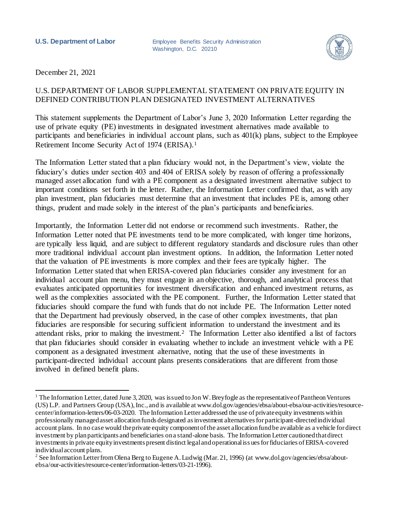**U.S. Department of Labor** Employee Benefits Security Administration Washington, D.C. 20210



December 21, 2021

l

## U.S. DEPARTMENT OF LABOR SUPPLEMENTAL STATEMENT ON PRIVATE EQUITY IN DEFINED CONTRIBUTION PLAN DESIGNATED INVESTMENT ALTERNATIVES

This statement supplements the Department of Labor's June 3, 2020 Information Letter regarding the use of private equity (PE) investments in designated investment alternatives made available to participants and beneficiaries in individual account plans, such as 401(k) plans, subject to the Employee Retirement Income Security Act of 1974 (ERISA).<sup>1</sup>

The Information Letter stated that a plan fiduciary would not, in the Department's view, violate the fiduciary's duties under section 403 and 404 of ERISA solely by reason of offering a professionally managed asset allocation fund with a PE component as a designated investment alternative subject to important conditions set forth in the letter. Rather, the Information Letter confirmed that, as with any plan investment, plan fiduciaries must determine that an investment that includes PE is, among other things, prudent and made solely in the interest of the plan's participants and beneficiaries.

Importantly, the Information Letter did not endorse or recommend such investments. Rather, the Information Letter noted that PE investments tend to be more complicated, with longer time horizons, are typically less liquid, and are subject to different regulatory standards and disclosure rules than other more traditional individual account plan investment options. In addition, the Information Letter noted that the valuation of PE investments is more complex and their fees are typically higher. The Information Letter stated that when ERISA-covered plan fiduciaries consider any investment for an individual account plan menu, they must engage in an objective, thorough, and analytical process that evaluates anticipated opportunities for investment diversification and enhanced investment returns, as well as the complexities associated with the PE component. Further, the Information Letter stated that fiduciaries should compare the fund with funds that do not include PE. The Information Letter noted that the Department had previously observed, in the case of other complex investments, that plan fiduciaries are responsible for securing sufficient information to understand the investment and its attendant risks, prior to making the investment.<sup>2</sup> The Information Letter also identified a list of factors that plan fiduciaries should consider in evaluating whether to include an investment vehicle with a PE component as a designated investment alternative, noting that the use of these investments in participant-directed individual account plans presents considerations that are different from those involved in defined benefit plans.

<sup>&</sup>lt;sup>1</sup> The Information Letter, dated June 3, 2020, was issued to Jon W. Breyfogle as the representative of Pantheon Ventures (US) L.P. and Partners Group (USA), Inc., and is available at www.dol.gov/agencies/ebsa/about-ebsa/our-activities/resourcecenter/information-letters/06-03-2020. The Information Letter addressed the use of private equity investments within professionally managed asset allocation funds designated as investment alternatives for participant-directed individual account plans. In no case would the private equity component of the asset allocation fund be available as a vehicle for direct investment by plan participants and beneficiaries on a stand-alone basis. The Information Letter cautioned that direct investments in private equity investments present distinct legal and operational iss ues for fiduciaries of ERISA-covered individual account plans.

<sup>&</sup>lt;sup>2</sup> See Information Letter from Olena Berg to Eugene A. Ludwig (Mar. 21, 1996) (at www.dol.gov/agencies/ebsa/aboutebsa/our-activities/resource-center/information-letters/03-21-1996).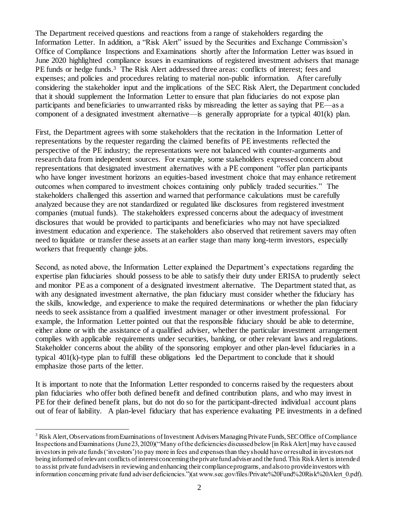The Department received questions and reactions from a range of stakeholders regarding the Information Letter. In addition, a "Risk Alert" issued by the Securities and Exchange Commission's Office of Compliance Inspections and Examinations shortly after the Information Letter was issued in June 2020 highlighted compliance issues in examinations of registered investment advisers that manage PE funds or hedge funds.<sup>3</sup> The Risk Alert addressed three areas: conflicts of interest; fees and expenses; and policies and procedures relating to material non-public information. After carefully considering the stakeholder input and the implications of the SEC Risk Alert, the Department concluded that it should supplement the Information Letter to ensure that plan fiduciaries do not expose plan participants and beneficiaries to unwarranted risks by misreading the letter as saying that PE—as a component of a designated investment alternative—is generally appropriate for a typical 401(k) plan.

First, the Department agrees with some stakeholders that the recitation in the Information Letter of representations by the requester regarding the claimed benefits of PE investments reflected the perspective of the PE industry; the representations were not balanced with counter-arguments and research data from independent sources. For example, some stakeholders expressed concern about representations that designated investment alternatives with a PE component "offer plan participants who have longer investment horizons an equities-based investment choice that may enhance retirement outcomes when compared to investment choices containing only publicly traded securities." The stakeholders challenged this assertion and warned that performance calculations must be carefully analyzed because they are not standardized or regulated like disclosures from registered investment companies (mutual funds). The stakeholders expressed concerns about the adequacy of investment disclosures that would be provided to participants and beneficiaries who may not have specialized investment education and experience. The stakeholders also observed that retirement savers may often need to liquidate or transfer these assets at an earlier stage than many long-term investors, especially workers that frequently change jobs.

Second, as noted above, the Information Letter explained the Department's expectations regarding the expertise plan fiduciaries should possess to be able to satisfy their duty under ERISA to prudently select and monitor PE as a component of a designated investment alternative. The Department stated that, as with any designated investment alternative, the plan fiduciary must consider whether the fiduciary has the skills, knowledge, and experience to make the required determinations or whether the plan fiduciary needs to seek assistance from a qualified investment manager or other investment professional. For example, the Information Letter pointed out that the responsible fiduciary should be able to determine, either alone or with the assistance of a qualified adviser, whether the particular investment arrangement complies with applicable requirements under securities, banking, or other relevant laws and regulations. Stakeholder concerns about the ability of the sponsoring employer and other plan-level fiduciaries in a typical 401(k)-type plan to fulfill these obligations led the Department to conclude that it should emphasize those parts of the letter.

It is important to note that the Information Letter responded to concerns raised by the requesters about plan fiduciaries who offer both defined benefit and defined contribution plans, and who may invest in PE for their defined benefit plans, but do not do so for the participant-directed individual account plans out of fear of liability. A plan-level fiduciary that has experience evaluating PE investments in a defined

l <sup>3</sup> Risk Alert, Observations from Examinations of Investment Advisers Managing Private Funds, SEC Office of Compliance Inspections and Examinations (June 23, 2020)("Many of the deficiencies discussed below [in Risk Alert] may have caused investors in private funds ('investors') to pay more in fees and expenses than they should have or resulted in investors not being informed of relevant conflicts of interest concerning the private fund adviser and the fund. This Risk Alert is intended to assist private fund advisers in reviewing and enhancing their compliance programs, and also to provide investors with information concerning private fund adviser deficiencies.")(at www.sec.gov/files/Private%20Fund%20Risk%20Alert\_0.pdf).